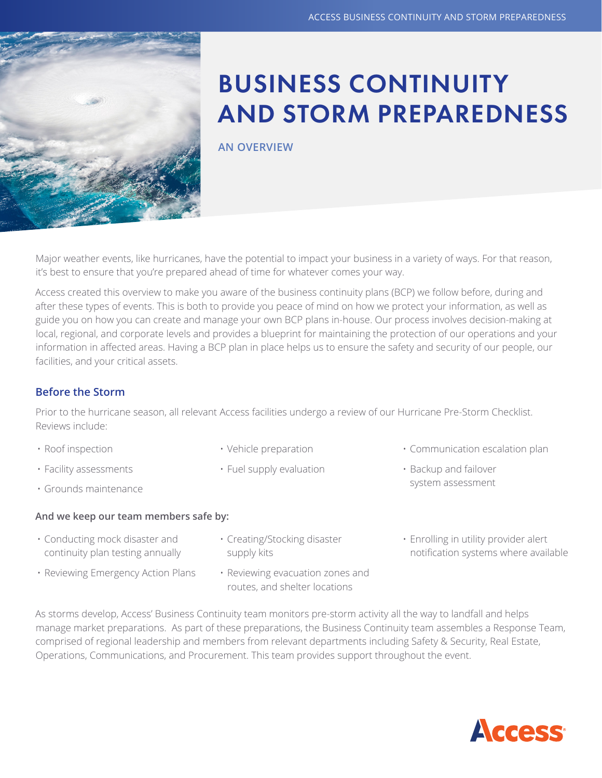

# BUSINESS CONTINUITY AND STORM PREPAREDNESS

**AN OVERVIEW**

Major weather events, like hurricanes, have the potential to impact your business in a variety of ways. For that reason, it's best to ensure that you're prepared ahead of time for whatever comes your way.

Access created this overview to make you aware of the business continuity plans (BCP) we follow before, during and after these types of events. This is both to provide you peace of mind on how we protect your information, as well as guide you on how you can create and manage your own BCP plans in-house. Our process involves decision-making at local, regional, and corporate levels and provides a blueprint for maintaining the protection of our operations and your information in affected areas. Having a BCP plan in place helps us to ensure the safety and security of our people, our facilities, and your critical assets.

### **Before the Storm**

Prior to the hurricane season, all relevant Access facilities undergo a review of our Hurricane Pre-Storm Checklist. Reviews include:

- Roof inspection
- Facility assessments
- Grounds maintenance

#### **And we keep our team members safe by:**

- Conducting mock disaster and continuity plan testing annually
- Reviewing Emergency Action Plans
- Vehicle preparation
- Fuel supply evaluation
- Communication escalation plan
- Backup and failover system assessment
- Creating/Stocking disaster supply kits
- Enrolling in utility provider alert notification systems where available
- Reviewing evacuation zones and routes, and shelter locations
- 

As storms develop, Access' Business Continuity team monitors pre-storm activity all the way to landfall and helps manage market preparations. As part of these preparations, the Business Continuity team assembles a Response Team, comprised of regional leadership and members from relevant departments including Safety & Security, Real Estate, Operations, Communications, and Procurement. This team provides support throughout the event.